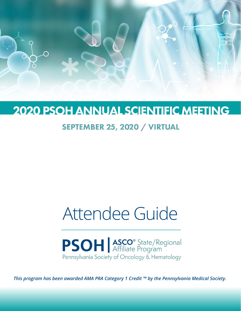

## **2020 PSOH ANNUAL SCIENTIFIC MEETING**

### SEPTEMBER 25, 2020 / VIRTUAL

# Attendee Guide

**PSOH** ASCO<sup>®</sup> State/Regional Pennsylvania Society of Oncology & Hematology

*This program has been awarded AMA PRA Category 1 Credit ™ by the Pennsylvania Medical Society.*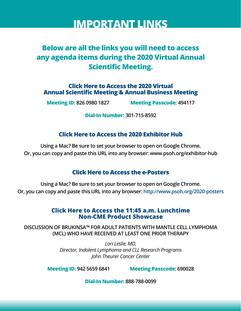## **IMPORTANT LINKS**

### **Below are all the links you will need to access any agenda items during the 2020 Virtual Annual Scientific Meeting.**

**Click Here to Access the 2020 Virtual [Annual Scientific Meeting & Annual Business Meeting](https://us02web.zoom.us/j/82609801827?pwd=ai9abDkrelEvdGNBL2wxaTFqNGhSZz09#success)**

**Meeting ID: 826 0980 1827 Meeting Passcode: 494117**

**Dial-In Number: 301-715-8592**

### **[Click Here to Access the 2020 Exhibitor Hub](http://www.psoh.org/exhibitor-hub)**

**Using a [Mac? Be sure to set your browser to open on Google C](http://www.psoh.org/exhibitor-hub)hrome. Or, you can copy and paste this URL into any browser: www.psoh.org/exhibitor-hub**

### **[Click Here to Access the e-Posters](http://www.psoh.org/2020-posters)**

**Using a Mac? Be sure to set your browser to open on Google Chrome. Or, you can copy and p[aste this URL into any browser: http://www](http://www.psoh.org/2020-posters).psoh.org/2020-posters**

### **[Click Here to Access the 11:45 a.m. Lunchtime](http://www.psoh.org/product-showcase) Non-CME Product Showcase**

**DISCUSSION OF BRUKINSA™ FOR ADULT PATIENTS WITH MANTLE CELL LYMPHOMA [\(MCL\) WHO HAVE RECEIVED AT LEAST ONE PRIOR THERAPY](https://zoom.us/j/94256596841?pwd=REJXM3FpRS9Na2RMcC9Sa1VLTk8xdz09#success)**

> *[Lori Leslie, MD,](https://zoom.us/j/94256596841?pwd=REJXM3FpRS9Na2RMcC9Sa1VLTk8xdz09#success)  Director, Indolent Lymphoma and CLL Research Programs John Theurer Cancer Center*

**Meeting ID: 942 5659 6841 Meeting Passcode: 690028**

**[Dial-In Number:](http://psoh.org/partner-app) 888-788-0099**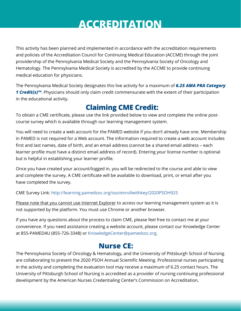## **ACCREDITATION**

This activity has been planned and implemented in accordance with the accreditation requirements and policies of the Accreditation Council for Continuing Medical Education (ACCME) through the joint providership of the Pennsylvania Medical Society and the Pennsylvania Society of Oncology and Hematology. The Pennsylvania Medical Society is accredited by the ACCME to provide continuing medical education for physicians.

The Pennsylvania Medical Society designates this live activity for a maximum of *6.25 AMA PRA Category*  **1 Credit(s)™**. Physicians should only claim credit commensurate with the extent of their participation in the educational activity.

### **Claiming CME Credit:**

To obtain a CME certificate, please use the link provided below to view and complete the online postcourse survey which is available through our learning management system.

You will need to create a web account for the PAMED website if you don't already have one. Membership in PAMED is not required for a Web account. The information required to create a web account includes first and last names, date of birth, and an email address (cannot be a shared email address – each learner profile must have a distinct email address of record). Entering your license number is optional but is helpful in establishing your learner profile.

Once you have created your account/logged in, you will be redirected to the course and able to view and complete the survey. A CME certificate will be available to download, print, or email after you have completed the survey.

CME Survey Link: [http://learning.pamedsoc.org/sso/enrollwithkey/2020PSOH925](http://learning.pamedsoc.org/sso/enrollwithkey/2020PSOH925 )

Please note that you cannot use Internet Explorer to access our learning management system as it is not supported by the platform. You must use Chrome or another browser.

If you have any questions about the process to claim CME, please feel free to contact me at your convenience. If you need assistance creating a website account, please contact our Knowledge Center at 855-PAMED4U (855-726-3348) or [KnowledgeCenter@pamedsoc.org.](mailto:KnowledgeCenter%40pamedsoc.org.%20%20?subject=) 

### **Nurse CE:**

The Pennsylvania Society of Oncology & Hematology, and the University of Pittsburgh School of Nursing are collaborating to present the 2020 PSOH Annual Scientific Meeting. Professional nurses participating in the activity and completing the evaluation tool may receive a maximum of 6.25 contact hours. The University of Pittsburgh School of Nursing is accredited as a provider of nursing continuing professional development by the American Nurses Credentialing Center's Commission on Accreditation.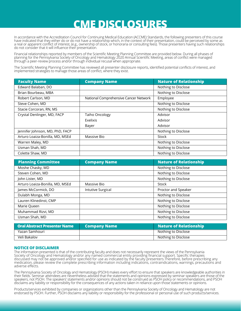## **CME DISCLOSURES**

In accordance with the Accreditation Council for Continuing Medical Education (ACCME) Standards, the following presenters of this course have indicated that they either do or do not have a relationship which, in the context of their presentation, could be perceived by some as a real or apparent conflict of interest, (e.g., ownership of stock, or honoraria or consulting fees). Those presenters having such relationships do not consider that it will influence their presentation.

Financial relationships reported by members of the Scientific Meeting Planning Committee are provided below. During all phases of planning for the Pennsylvania Society of Oncology and Hematology 2020 Annual Scientific Meeting, areas of conflict were managed through a peer-review process and/or through individual recusal when appropriate.

The Scientific Meeting Planning Committee has reviewed all presenter disclosure reports, identified potential conflicts of interest, and implemented strategies to manage those areas of conflict, where they exist.

| <b>Faculty Name</b>             | <b>Company Name</b>                   | <b>Nature of Relationship</b> |
|---------------------------------|---------------------------------------|-------------------------------|
| Edward Balaban, DO              |                                       | Nothing to Disclose           |
| Brian Bourbeau, MBA             |                                       | Nothing to Disclose           |
| Robert Carlson, MD              | National Comprehensive Cancer Network | Employee                      |
| Steve Cohen, MD                 |                                       | Nothing to Disclose           |
| Stacie Corcoran, RN, MS         |                                       | Nothing to Disclose           |
| Crystal Denlinger, MD, FACP     | <b>Taiho Oncology</b>                 | Advisor                       |
|                                 | Exelixis                              | Advisor                       |
|                                 | Bayer                                 | Advisor                       |
| Jennifer Johnson, MD, PhD, FACP |                                       | Nothing to Disclose           |
| Arturo Loaiza-Bonilla, MD, MSEd | Massive Bio                           | Stock                         |
| Warren Maley, MD                |                                       | Nothing to Disclose           |
| Usman Shah, MD                  |                                       | Nothing to Disclose           |
| Colette Shaw, MD                |                                       | Nothing to Disclose           |

| <b>Planning Committee</b>       | <b>Company Name</b> | <b>Nature of Relationship</b> |
|---------------------------------|---------------------|-------------------------------|
| Moshe Chasky, MD                |                     | Nothing to Disclose           |
| Steven Cohen, MD                |                     | Nothing to Disclose           |
| John Lister, MD                 |                     | Nothing to Disclose           |
| Arturo Loaiza-Bonilla, MD, MSEd | Massive Bio         | Stock                         |
| James McCormick, DO             | Intutive Surgical   | Proctor and Speaker           |
| Dulabh Monga, MD                |                     | Nothing to Disclose           |
| Lauren Klinedinst, CMP          |                     | Nothing to Disclose           |
| Marie Queen                     |                     | Nothing to Disclose           |
| Muhammad Rizvi, MD              |                     | Nothing to Disclose           |
| Usman Shah, MD                  |                     | Nothing to Disclose           |

| Oral Abstract Presenter Name | <b>Company Name</b> | <b>Nature of Relationship</b> |
|------------------------------|---------------------|-------------------------------|
| Yazan Samhouri               |                     | Nothing to Disclose           |
| Veli Bakalov                 |                     | Nothing to Disclose           |

#### **NOTICE OF DISCLAIMER**

The information presented is that of the contributing faculty and does not necessarily represent the views of the Pennsylvania Society of Oncology and Hematology and/or any named commercial entity providing financial support. Specific therapies discussed may not be approved and/or specified for use as indicated by the faculty presenters.Therefore, before prescribing any medication, please review the complete prescribing information including indications, contraindications, warnings, precautions and adverse effects.

The Pennsylvania Society of Oncology and Hematology (PSOH) makes every effort to ensure that speakers are knowledgeable authorities in their fields. Seminar attendees are nevertheless advised that the statements and opinions expressed by seminar speakers are those of the speakers, not PSOH. The speakers' statements and/or opinions should not be construed as PSOH policy or recommendations, and PSOH disclaims any liability or responsibility for the consequences of any actions taken in reliance upon those statements or opinions.

Products/services exhibited by companies or organizations other than the Pennsylvania Society of Oncology and Hematology are not endorsed by PSOH. Further, PSOH disclaims any liability or responsibility for the professional or personal use of such products/services.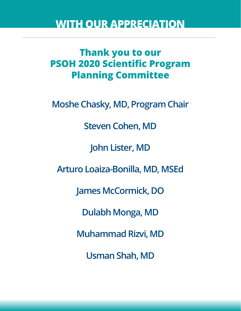## **WITH OUR APPRECIATION**

## **Thank you to our PSOH 2020 Scientific Program Planning Committee**

**Moshe Chasky, MD, Program Chair**

**Steven Cohen, MD**

**John Lister, MD**

**Arturo Loaiza-Bonilla, MD, MSEd**

**James McCormick, DO**

**Dulabh Monga, MD**

**Muhammad Rizvi, MD**

**Usman Shah, MD**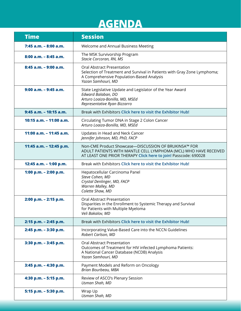## **AGENDA**

| <b>Time</b>               | <b>Session</b>                                                                                                                                                                              |
|---------------------------|---------------------------------------------------------------------------------------------------------------------------------------------------------------------------------------------|
| 7:45 a.m. - 8:00 a.m.     | Welcome and Annual Business Meeting                                                                                                                                                         |
| 8:00 a.m. - 8:45 a.m.     | The MSK Survivorship Program<br>Stacie Corcoran, RN, MS                                                                                                                                     |
| $8:45$ a.m. $-9:00$ a.m.  | <b>Oral Abstract Presentation</b><br>Selection of Treatment and Survival in Patients with Gray Zone Lymphoma;<br>A Comprehensive Population-Based Analysis<br>Yazan Samhouri, MD            |
| 9:00 a.m. - 9:45 a.m.     | State Legislative Update and Legislator of the Year Award<br>Edward Balaban, DO<br>Arturo Loaiza-Bonilla, MD, MSEd<br>Representative Ryan Bizzarro                                          |
| $9:45$ a.m. $-10:15$ a.m. | Break with Exhibitors Click here to visit the Exhibitor Hub!                                                                                                                                |
| 10:15 a.m. - 11:00 a.m.   | Circulating Tumor DNA in Stage 2 Colon Cancer<br>Arturo Loaiza-Bonilla, MD, MSEd                                                                                                            |
| 11:00 a.m. - 11:45 a.m.   | Updates in Head and Neck Cancer<br>Jennifer Johnson, MD, PhD, FACP                                                                                                                          |
| 11:45 a.m. - 12:45 p.m.   | Non-CME Product Showcase-DISCUSSION OF BRUKINSA™ FOR<br>ADULT PATIENTS WITH MANTLE CELL LYMPHOMA (MCL) WHO HAVE RECEIVED<br>AT LEAST ONE PRIOR THERAPY Click here to join! Passcode: 690028 |
| 12:45 a.m. - 1:00 p.m.    | Break with Exhibitors Click here to visit the Exhibitor Hub!                                                                                                                                |
| 1:00 p.m. $-$ 2:00 p.m.   | Hepatocellular Carcinoma Panel<br>Steve Cohen, MD<br>Crystal Denlinger, MD, FACP<br>Warren Malley, MD<br>Colette Shaw, MD                                                                   |
| 2:00 p.m. - 2:15 p.m.     | <b>Oral Abstract Presentation</b><br>Disparities in the Enrollment to Systemic Therapy and Survival<br>for Patients with Multiple Myeloma<br>Veli Bakalov, MD                               |
| 2:15 p.m. - 2:45 p.m.     | Break with Exhibitors Click here to visit the Exhibitor Hub!                                                                                                                                |
| 2:45 p.m. - 3:30 p.m.     | Incorporating Value-Based Care into the NCCN Guidelines<br>Robert Carlson, MD                                                                                                               |
| 3:30 p.m. - 3:45 p.m.     | <b>Oral Abstract Presentation</b><br>Outcomes of Treatment for HIV infected Lymphoma Patients:<br>A National Cancer Database (NCDB) Analysis<br>Yazan Samhouri, MD                          |
| 3:45 p.m. - 4:30 p.m.     | Payment Models and Reform on Oncology<br>Brian Bourbeau, MBA                                                                                                                                |
| 4:30 p.m. - 5:15 p.m.     | Review of ASCO's Plenary Session<br>Usman Shah, MD                                                                                                                                          |
| 5:15 p.m. - 5:30 p.m.     | Wrap Up<br>Usman Shah, MD                                                                                                                                                                   |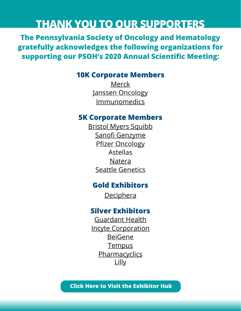## **THANK YOU TO OUR SUPPORTERS**

**The Pennsylvania Society of Oncology and Hematology gratefully acknowledges the following organizations for supporting our PSOH's 2020 Annual Scientific Meeting:**

### **10K Corporate Members**

[Merck](https://www.merck.com/ ) [Janssen Oncology](https://www.janssen.com/oncology) [Immunomedics](http://www.immunomedics.com)

### **5K Corporate Members**

[Bristol Myers Squibb](https://www.bms.com/) [Sanofi Genzyme](http://www.SarclisaHCP.com) [Pfizer Oncology](http://www.Pfizer.com/Oncology) Astellas [Natera](http://natera.com/oncology) [Seattle Genetics](https://www.seattlegenetics.com)

### **Gold Exhibitors**

**[Deciphera](https://www.deciphera.com)** 

### **Silver Exhibitors**

[Guardant Health](http://www.guardant360cdx.com) [Incyte Corporation](http://www.incyte.com) [BeiGene](http://www.beigene.com) [Tempus](http://tempus.com) **[Pharmacyclics](http://www.imbruvicahcp.com)** [Lilly](http://www.syneoshealth.com)

**[Click Here to Visit the Exhibitor Hub](http://www.psoh.org/exhibitor-hub)**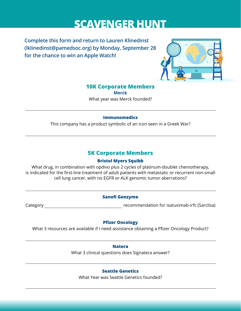## **SCAVENGER HUNT**

**Complete this form and return to Lauren Klinedinst [\(lklinedinst@pamedsoc.org](mailto:lklinedinst%40pamedsoc.org?subject=)) by Monday, September 28 for the chance to win an Apple Watch!**



#### **10K Corporate Members**

**Merck** What year was Merck founded?

#### **Immunomedics**

L

This company has a product symbolic of an icon seen in a Greek War?

### **5K Corporate Members**

#### **Bristol Myers Squibb**

What drug, in combination with opdivo plus 2 cycles of platinum-doublet chemotherapy, is indicated for the first-line treatment of adult patients with metastatic or recurrent non-small cell lung cancer, with no EGFR or ALK genomic tumor aberrations?

#### **Sanofi Genzyme**

Category recommendation for isatuximab-irfc (Sarclisa)

#### **Pfizer Oncology**

What 3 resources are available if I need assistance obtaining a Pfizer Oncology Product?

**Natera**

What 3 clinical questions does Signatera answer?

#### **Seattle Genetics**

What Year was Seattle Genetics founded?